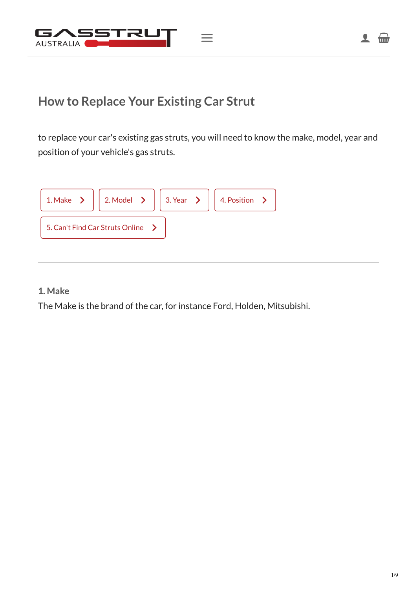

to replace your car's existing gas struts, you will need to know the make, model, year and position of your vehicle's gas struts.



#### <span id="page-0-0"></span>**1. Make**

The Make is the brand of the car, for instance Ford, Holden, Mitsubishi.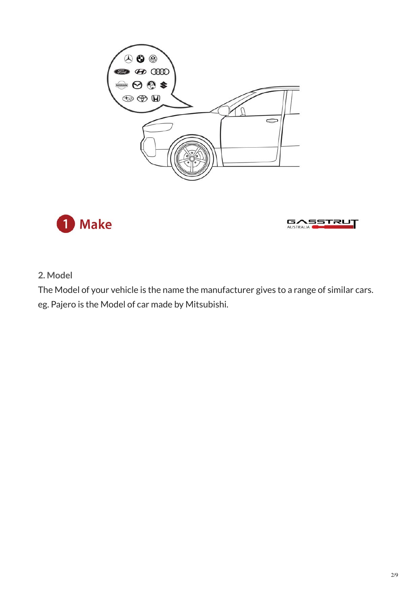





#### <span id="page-1-0"></span>**2. Model**

The Model of your vehicle is the name the manufacturer gives to a range of similar cars. eg. Pajero is the Model of car made by Mitsubishi.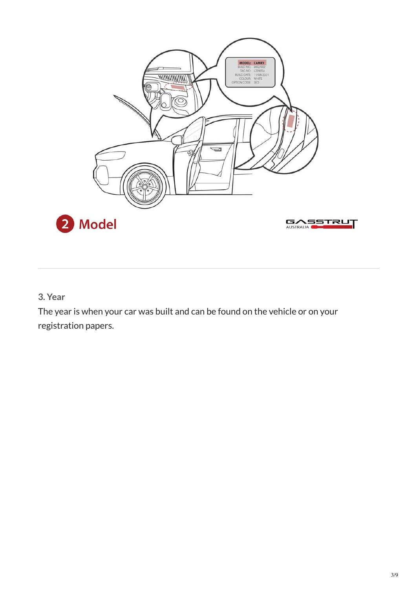

<span id="page-2-0"></span>**3. Year**

The year is when your car was built and can be found on the vehicle or on your registration papers.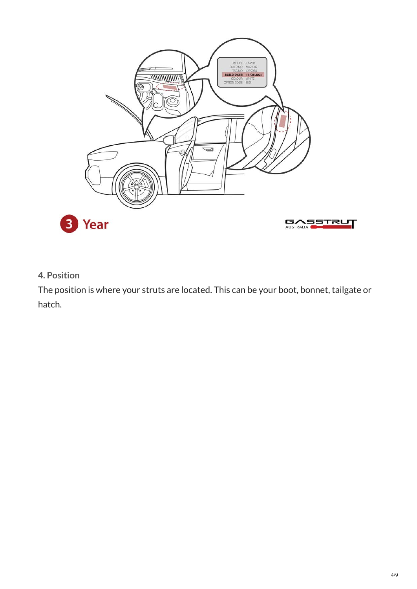

<span id="page-3-0"></span>**4. Position**

The position is where your struts are located. This can be your boot, bonnet, tailgate or hatch.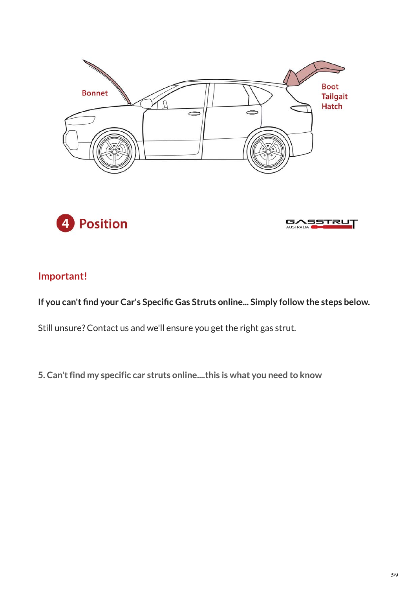





# **Important!**

**If you can't find your Car's Specific Gas Struts online... Simply follow the steps below.**

Still unsure? Contact us and we'll ensure you get the right gas strut.

<span id="page-4-0"></span>**5. Can't find my specific car struts online....this is what you need to know**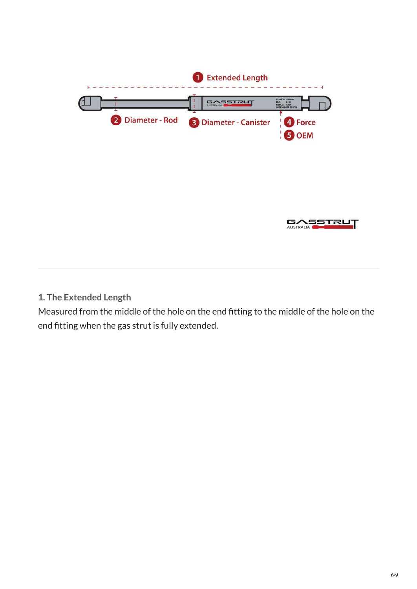



**1. The Extended Length**

Measured from the middle of the hole on the end fitting to the middle of the hole on the end fitting when the gas strut is fully extended.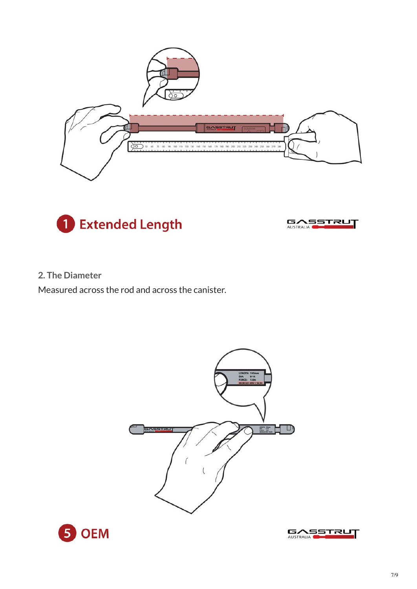





### **2. The Diameter**

Measured across the rod and across the canister.





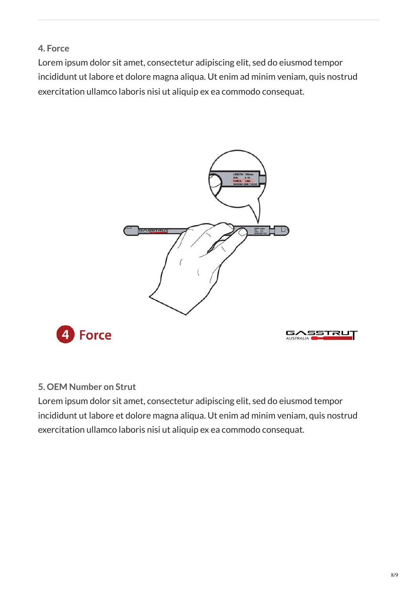## **4. Force**

Lorem ipsum dolor sit amet, consectetur adipiscing elit, sed do eiusmod tempor incididunt ut labore et dolore magna aliqua. Ut enim ad minim veniam, quis nostrud exercitation ullamco laboris nisi ut aliquip ex ea commodo consequat.



### **5. OEM Number on Strut**

Lorem ipsum dolor sit amet, consectetur adipiscing elit, sed do eiusmod tempor incididunt ut labore et dolore magna aliqua. Ut enim ad minim veniam, quis nostrud exercitation ullamco laboris nisi ut aliquip ex ea commodo consequat.